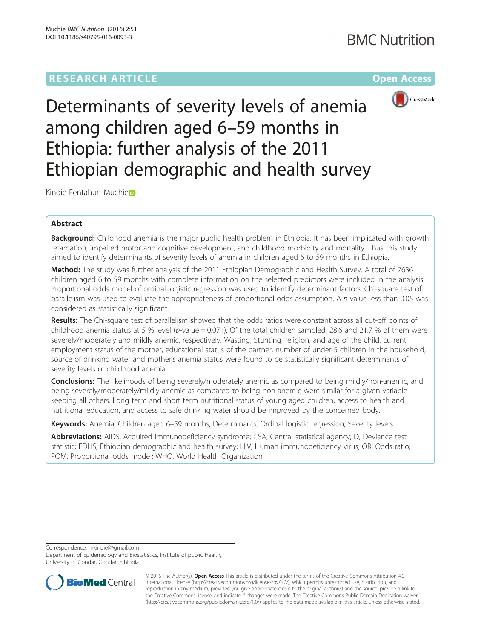

Determinants of severity levels of anemia among children aged 6–59 months in Ethiopia: further analysis of the 2011 Ethiopian demographic and health survey

Kindie Fentahun Muchi[e](http://orcid.org/0000-0002-9975-7948)

# Abstract

Background: Childhood anemia is the major public health problem in Ethiopia. It has been implicated with growth retardation, impaired motor and cognitive development, and childhood morbidity and mortality. Thus this study aimed to identify determinants of severity levels of anemia in children aged 6 to 59 months in Ethiopia.

Method: The study was further analysis of the 2011 Ethiopian Demographic and Health Survey. A total of 7636 children aged 6 to 59 months with complete information on the selected predictors were included in the analysis. Proportional odds model of ordinal logistic regression was used to identify determinant factors. Chi-square test of parallelism was used to evaluate the appropriateness of proportional odds assumption. A p-value less than 0.05 was considered as statistically significant.

Results: The Chi-square test of parallelism showed that the odds ratios were constant across all cut-off points of childhood anemia status at 5 % level (p-value = 0.071). Of the total children sampled, 28.6 and 21.7 % of them were severely/moderately and mildly anemic, respectively. Wasting, Stunting, religion, and age of the child, current employment status of the mother, educational status of the partner, number of under-5 children in the household, source of drinking water and mother's anemia status were found to be statistically significant determinants of severity levels of childhood anemia.

**Conclusions:** The likelihoods of being severely/moderately anemic as compared to being mildly/non-anemic, and being severely/moderately/mildly anemic as compared to being non-anemic were similar for a given variable keeping all others. Long term and short term nutritional status of young aged children, access to health and nutritional education, and access to safe drinking water should be improved by the concerned body.

Keywords: Anemia, Children aged 6–59 months, Determinants, Ordinal logistic regression, Severity levels

Abbreviations: AIDS, Acquired immunodeficiency syndrome; CSA, Central statistical agency; D, Deviance test statistic; EDHS, Ethiopian demographic and health survey; HIV, Human immunodeficiency virus; OR, Odds ratio; POM, Proportional odds model; WHO, World Health Organization

Correspondence: [mkindief@gmail.com](mailto:mkindief@gmail.com)

Department of Epidemiology and Biostatistics, Institute of public Health, University of Gondar, Gondar, Ethiopia



© 2016 The Author(s). Open Access This article is distributed under the terms of the Creative Commons Attribution 4.0 International License [\(http://creativecommons.org/licenses/by/4.0/](http://creativecommons.org/licenses/by/4.0/)), which permits unrestricted use, distribution, and reproduction in any medium, provided you give appropriate credit to the original author(s) and the source, provide a link to the Creative Commons license, and indicate if changes were made. The Creative Commons Public Domain Dedication waiver [\(http://creativecommons.org/publicdomain/zero/1.0/](http://creativecommons.org/publicdomain/zero/1.0/)) applies to the data made available in this article, unless otherwise stated.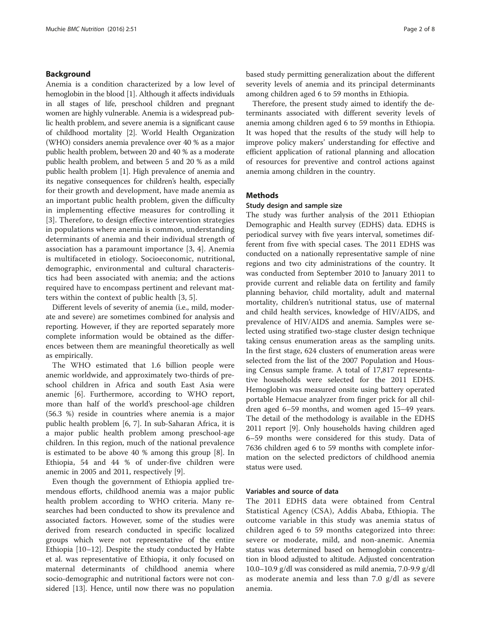## Background

Anemia is a condition characterized by a low level of hemoglobin in the blood [[1\]](#page-7-0). Although it affects individuals in all stages of life, preschool children and pregnant women are highly vulnerable. Anemia is a widespread public health problem, and severe anemia is a significant cause of childhood mortality [[2](#page-7-0)]. World Health Organization (WHO) considers anemia prevalence over 40 % as a major public health problem, between 20 and 40 % as a moderate public health problem, and between 5 and 20 % as a mild public health problem [[1](#page-7-0)]. High prevalence of anemia and its negative consequences for children's health, especially for their growth and development, have made anemia as an important public health problem, given the difficulty in implementing effective measures for controlling it [[3\]](#page-7-0). Therefore, to design effective intervention strategies in populations where anemia is common, understanding determinants of anemia and their individual strength of association has a paramount importance [[3, 4](#page-7-0)]. Anemia is multifaceted in etiology. Socioeconomic, nutritional, demographic, environmental and cultural characteristics had been associated with anemia; and the actions required have to encompass pertinent and relevant matters within the context of public health [\[3](#page-7-0), [5](#page-7-0)].

Different levels of severity of anemia (i.e., mild, moderate and severe) are sometimes combined for analysis and reporting. However, if they are reported separately more complete information would be obtained as the differences between them are meaningful theoretically as well as empirically.

The WHO estimated that 1.6 billion people were anemic worldwide, and approximately two-thirds of preschool children in Africa and south East Asia were anemic [\[6](#page-7-0)]. Furthermore, according to WHO report, more than half of the world's preschool-age children (56.3 %) reside in countries where anemia is a major public health problem [[6, 7](#page-7-0)]. In sub-Saharan Africa, it is a major public health problem among preschool-age children. In this region, much of the national prevalence is estimated to be above 40 % among this group [[8\]](#page-7-0). In Ethiopia, 54 and 44 % of under-five children were anemic in 2005 and 2011, respectively [[9\]](#page-7-0).

Even though the government of Ethiopia applied tremendous efforts, childhood anemia was a major public health problem according to WHO criteria. Many researches had been conducted to show its prevalence and associated factors. However, some of the studies were derived from research conducted in specific localized groups which were not representative of the entire Ethiopia [\[10](#page-7-0)–[12\]](#page-7-0). Despite the study conducted by Habte et al. was representative of Ethiopia, it only focused on maternal determinants of childhood anemia where socio-demographic and nutritional factors were not considered [[13\]](#page-7-0). Hence, until now there was no population based study permitting generalization about the different severity levels of anemia and its principal determinants among children aged 6 to 59 months in Ethiopia.

Therefore, the present study aimed to identify the determinants associated with different severity levels of anemia among children aged 6 to 59 months in Ethiopia. It was hoped that the results of the study will help to improve policy makers' understanding for effective and efficient application of rational planning and allocation of resources for preventive and control actions against anemia among children in the country.

## **Methods**

## Study design and sample size

The study was further analysis of the 2011 Ethiopian Demographic and Health survey (EDHS) data. EDHS is periodical survey with five years interval, sometimes different from five with special cases. The 2011 EDHS was conducted on a nationally representative sample of nine regions and two city administrations of the country. It was conducted from September 2010 to January 2011 to provide current and reliable data on fertility and family planning behavior, child mortality, adult and maternal mortality, children's nutritional status, use of maternal and child health services, knowledge of HIV/AIDS, and prevalence of HIV/AIDS and anemia. Samples were selected using stratified two-stage cluster design technique taking census enumeration areas as the sampling units. In the first stage, 624 clusters of enumeration areas were selected from the list of the 2007 Population and Housing Census sample frame. A total of 17,817 representative households were selected for the 2011 EDHS. Hemoglobin was measured onsite using battery operated portable Hemacue analyzer from finger prick for all children aged 6–59 months, and women aged 15–49 years. The detail of the methodology is available in the EDHS 2011 report [[9](#page-7-0)]. Only households having children aged 6–59 months were considered for this study. Data of 7636 children aged 6 to 59 months with complete information on the selected predictors of childhood anemia status were used.

## Variables and source of data

The 2011 EDHS data were obtained from Central Statistical Agency (CSA), Addis Ababa, Ethiopia. The outcome variable in this study was anemia status of children aged 6 to 59 months categorized into three: severe or moderate, mild, and non-anemic. Anemia status was determined based on hemoglobin concentration in blood adjusted to altitude. Adjusted concentration 10.0–10.9 g/dl was considered as mild anemia, 7.0-9.9 g/dl as moderate anemia and less than 7.0 g/dl as severe anemia.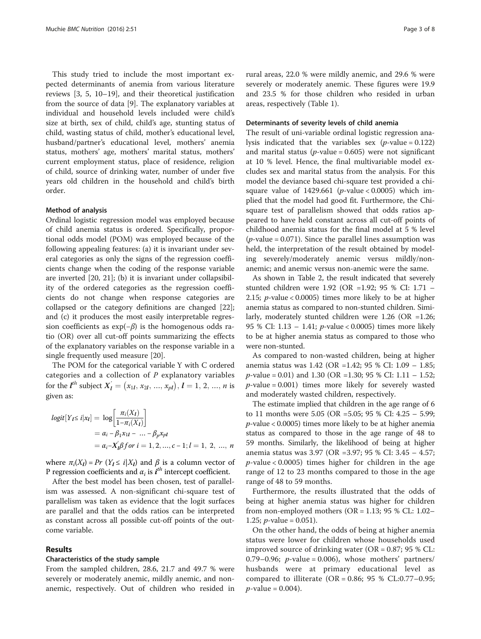This study tried to include the most important expected determinants of anemia from various literature reviews [\[3](#page-7-0), [5, 10](#page-7-0)–[19\]](#page-7-0), and their theoretical justification from the source of data [[9\]](#page-7-0). The explanatory variables at individual and household levels included were child's size at birth, sex of child, child's age, stunting status of child, wasting status of child, mother's educational level, husband/partner's educational level, mothers' anemia status, mothers' age, mothers' marital status, mothers' current employment status, place of residence, religion of child, source of drinking water, number of under five years old children in the household and child's birth order.

#### Method of analysis

Ordinal logistic regression model was employed because of child anemia status is ordered. Specifically, proportional odds model (POM) was employed because of the following appealing features: (a) it is invariant under several categories as only the signs of the regression coefficients change when the coding of the response variable are inverted [\[20](#page-7-0), [21](#page-7-0)]; (b) it is invariant under collapsibility of the ordered categories as the regression coefficients do not change when response categories are collapsed or the category definitions are changed [\[22](#page-7-0)]; and (c) it produces the most easily interpretable regression coefficients as  $exp(-\beta)$  is the homogenous odds ratio (OR) over all cut-off points summarizing the effects of the explanatory variables on the response variable in a single frequently used measure [\[20](#page-7-0)].

The POM for the categorical variable Y with C ordered categories and a collection of  $P$  explanatory variables for the  $l^{th}$  subject  $X'_l = (x_{1l}, x_{2l}, ..., x_{pl}), l = 1, 2, ..., n$  is given as:

$$
logit[Y_{l} \le i | x_{l}] = log\left[\frac{\pi_{i}(X_{l})}{1 - \pi_{i}(X_{l})}\right]
$$
  
=  $\alpha_{i} - \beta_{1}x_{1l} - ... - \beta_{p}x_{pl}$   
=  $\alpha_{i} - X_{l}'\beta for i = 1, 2, ..., c - 1; l = 1, 2, ..., n$ 

where  $\pi_i(X_l) = Pr(Y_l \leq i | X_l)$  and  $\beta$  is a column vector of P regression coefficients and  $\alpha_i$  is  $\mathbf{i}^{th}$  intercept coefficient.

After the best model has been chosen, test of parallelism was assessed. A non-significant chi-square test of parallelism was taken as evidence that the logit surfaces are parallel and that the odds ratios can be interpreted as constant across all possible cut-off points of the outcome variable.

## Results

### Characteristics of the study sample

From the sampled children, 28.6, 21.7 and 49.7 % were severely or moderately anemic, mildly anemic, and nonanemic, respectively. Out of children who resided in

rural areas, 22.0 % were mildly anemic, and 29.6 % were severely or moderately anemic. These figures were 19.9 and 23.5 % for those children who resided in urban areas, respectively (Table [1](#page-3-0)).

### Determinants of severity levels of child anemia

The result of uni-variable ordinal logistic regression analysis indicated that the variables sex  $(p$ -value = 0.122) and marital status ( $p$ -value = 0.605) were not significant at 10 % level. Hence, the final multivariable model excludes sex and marital status from the analysis. For this model the deviance based chi-square test provided a chisquare value of  $1429.661$  (*p*-value < 0.0005) which implied that the model had good fit. Furthermore, the Chisquare test of parallelism showed that odds ratios appeared to have held constant across all cut-off points of childhood anemia status for the final model at 5 % level  $(p$ -value = 0.071). Since the parallel lines assumption was held, the interpretation of the result obtained by modeling severely/moderately anemic versus mildly/nonanemic; and anemic versus non-anemic were the same.

As shown in Table [2,](#page-5-0) the result indicated that severely stunted children were 1.92 (OR =1.92; 95 % CI: 1.71 – 2.15; *p*-value < 0.0005) times more likely to be at higher anemia status as compared to non-stunted children. Similarly, moderately stunted children were 1.26 (OR =1.26; 95 % CI: 1.13 – 1.41; p-value < 0.0005) times more likely to be at higher anemia status as compared to those who were non-stunted.

As compared to non-wasted children, being at higher anemia status was 1.42 (OR =1.42; 95 % CI: 1.09 – 1.85;  $p$ -value = 0.01) and 1.30 (OR = 1.30; 95 % CI: 1.11 – 1.52;  $p$ -value = 0.001) times more likely for severely wasted and moderately wasted children, respectively.

The estimate implied that children in the age range of 6 to 11 months were 5.05 (OR =5.05; 95 % CI: 4.25 – 5.99;  $p$ -value < 0.0005) times more likely to be at higher anemia status as compared to those in the age range of 48 to 59 months. Similarly, the likelihood of being at higher anemia status was 3.97 (OR =3.97; 95 % CI: 3.45 – 4.57;  $p$ -value < 0.0005) times higher for children in the age range of 12 to 23 months compared to those in the age range of 48 to 59 months.

Furthermore, the results illustrated that the odds of being at higher anemia status was higher for children from non-employed mothers (OR =  $1.13$ ; 95 % CL:  $1.02-$ 1.25; *p*-value = 0.051).

On the other hand, the odds of being at higher anemia status were lower for children whose households used improved source of drinking water (OR = 0.87; 95 % CL: 0.79–0.96; *p*-value = 0.006), whose mothers' partners/ husbands were at primary educational level as compared to illiterate (OR =  $0.86$ ; 95 % CL:0.77–0.95;  $p$ -value = 0.004).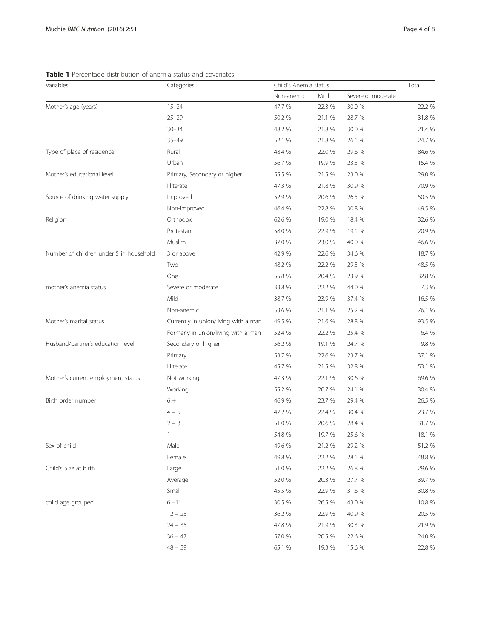## <span id="page-3-0"></span>Table 1 Percentage distribution of anemia status and covariates

| Variables                               | Categories                           | Child's Anemia status |        |                    | Total  |
|-----------------------------------------|--------------------------------------|-----------------------|--------|--------------------|--------|
|                                         |                                      | Non-anemic            | Mild   | Severe or moderate |        |
| Mother's age (years)                    | $15 - 24$                            | 47.7 %                | 22.3 % | 30.0 %             | 22.2 % |
|                                         | $25 - 29$                            | 50.2 %                | 21.1 % | 28.7 %             | 31.8 % |
|                                         | $30 - 34$                            | 48.2 %                | 21.8 % | 30.0 %             | 21.4 % |
|                                         | $35 - 49$                            | 52.1 %                | 21.8 % | 26.1 %             | 24.7 % |
| Type of place of residence              | Rural                                | 48.4 %                | 22.0 % | 29.6 %             | 84.6 % |
|                                         | Urban                                | 56.7 %                | 19.9 % | 23.5 %             | 15.4 % |
| Mother's educational level              | Primary, Secondary or higher         | 55.5 %                | 21.5 % | 23.0 %             | 29.0 % |
|                                         | Illiterate                           | 47.3 %                | 21.8 % | 30.9 %             | 70.9 % |
| Source of drinking water supply         | Improved                             | 52.9 %                | 20.6 % | 26.5 %             | 50.5 % |
|                                         | Non-improved                         | 46.4 %                | 22.8 % | 30.8 %             | 49.5 % |
| Religion                                | Orthodox                             | 62.6 %                | 19.0 % | 18.4 %             | 32.6 % |
|                                         | Protestant                           | 58.0 %                | 22.9 % | 19.1 %             | 20.9 % |
|                                         | Muslim                               | 37.0 %                | 23.0 % | 40.0 %             | 46.6 % |
| Number of children under 5 in household | 3 or above                           | 42.9 %                | 22.6 % | 34.6 %             | 18.7 % |
|                                         | Two                                  | 48.2 %                | 22.2 % | 29.5 %             | 48.5 % |
|                                         | One                                  | 55.8 %                | 20.4 % | 23.9 %             | 32.8 % |
| mother's anemia status                  | Severe or moderate                   | 33.8 %                | 22.2 % | 44.0 %             | 7.3 %  |
|                                         | Mild                                 | 38.7 %                | 23.9 % | 37.4 %             | 16.5 % |
|                                         | Non-anemic                           | 53.6 %                | 21.1 % | 25.2 %             | 76.1 % |
| Mother's marital status                 | Currently in union/living with a man | 49.5 %                | 21.6 % | 28.8 %             | 93.5 % |
|                                         | Formerly in union/living with a man  | 52.4 %                | 22.2 % | 25.4 %             | 6.4 %  |
| Husband/partner's education level       | Secondary or higher                  | 56.2 %                | 19.1 % | 24.7 %             | 9.8 %  |
|                                         | Primary                              | 53.7 %                | 22.6 % | 23.7 %             | 37.1 % |
|                                         | Illiterate                           | 45.7 %                | 21.5 % | 32.8 %             | 53.1 % |
| Mother's current employment status      | Not working                          | 47.3 %                | 22.1 % | 30.6 %             | 69.6 % |
|                                         | Working                              | 55.2 %                | 20.7 % | 24.1 %             | 30.4 % |
| Birth order number                      | $6+$                                 | 46.9%                 | 23.7 % | 29.4 %             | 26.5 % |
|                                         | $4 - 5$                              | 47.2 %                | 22.4 % | 30.4 %             | 23.7 % |
|                                         | $2 - 3$                              | 51.0%                 | 20.6 % | 28.4 %             | 31.7 % |
|                                         | 1                                    | 54.8 %                | 19.7 % | 25.6 %             | 18.1 % |
| Sex of child                            | Male                                 | 49.6 %                | 21.2 % | 29.2 %             | 51.2 % |
|                                         | Female                               | 49.8 %                | 22.2 % | 28.1 %             | 48.8 % |
| Child's Size at birth                   | Large                                | 51.0 %                | 22.2 % | 26.8 %             | 29.6 % |
|                                         | Average                              | 52.0 %                | 20.3 % | 27.7 %             | 39.7 % |
|                                         | Small                                | 45.5 %                | 22.9 % | 31.6 %             | 30.8 % |
| child age grouped                       | $6 - 11$                             | 30.5 %                | 26.5 % | 43.0 %             | 10.8 % |
|                                         | $12 - 23$                            | 36.2 %                | 22.9 % | 40.9 %             | 20.5 % |
|                                         | $24 - 35$                            | 47.8 %                | 21.9%  | 30.3 %             | 21.9 % |
|                                         | $36 - 47$                            | 57.0 %                | 20.5 % | 22.6 %             | 24.0 % |
|                                         | $48 - 59$                            | 65.1 %                | 19.3 % | 15.6 %             | 22.8 % |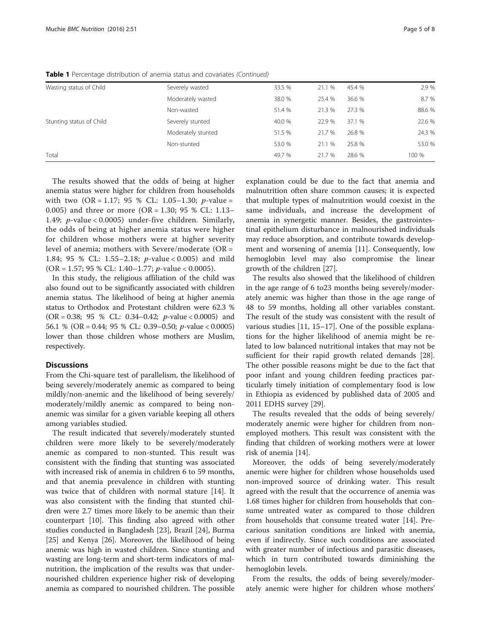| Wasting status of Child  | Severely wasted    | 33.5 % | 21.1 % | 45.4 % | 2.9 %  |
|--------------------------|--------------------|--------|--------|--------|--------|
|                          | Moderately wasted  | 38.0 % | 25.4 % | 36.6 % | 8.7 %  |
|                          | Non-wasted         | 51.4 % | 21.3 % | 27.3 % | 88.6 % |
| Stunting status of Child | Severely stunted   | 40.0 % | 22.9 % | 37.1 % | 22.6 % |
|                          | Moderately stunted | 51.5 % | 21.7 % | 26.8 % | 24.3 % |
|                          | Non-stunted        | 53.0 % | 21.1 % | 25.8 % | 53.0 % |
| Total                    |                    | 49.7 % | 21.7 % | 28.6 % | 100 %  |

Table 1 Percentage distribution of anemia status and covariates (Continued)

The results showed that the odds of being at higher anemia status were higher for children from households with two  $(OR = 1.17; 95 % CL: 1.05–1.30; p-value =$ 0.005) and three or more (OR = 1.30; 95 % CL: 1.13– 1.49; p-value < 0.0005) under-five children. Similarly, the odds of being at higher anemia status were higher for children whose mothers were at higher severity level of anemia; mothers with Severe/moderate (OR = 1.84; 95 % CL: 1.55–2.18; p-value < 0.005) and mild (OR = 1.57; 95 % CL: 1.40–1.77;  $p$ -value < 0.0005).

In this study, the religious affiliation of the child was also found out to be significantly associated with children anemia status. The likelihood of being at higher anemia status to Orthodox and Protestant children were 62.3 %  $(OR = 0.38; 95 % CL: 0.34–0.42; p-value < 0.0005)$  and 56.1 % (OR = 0.44; 95 % CL: 0.39–0.50; p-value < 0.0005) lower than those children whose mothers are Muslim, respectively.

## **Discussions**

From the Chi-square test of parallelism, the likelihood of being severely/moderately anemic as compared to being mildly/non-anemic and the likelihood of being severely/ moderately/mildly anemic as compared to being nonanemic was similar for a given variable keeping all others among variables studied.

The result indicated that severely/moderately stunted children were more likely to be severely/moderately anemic as compared to non-stunted. This result was consistent with the finding that stunting was associated with increased risk of anemia in children 6 to 59 months, and that anemia prevalence in children with stunting was twice that of children with normal stature [[14](#page-7-0)]. It was also consistent with the finding that stunted children were 2.7 times more likely to be anemic than their counterpart [\[10](#page-7-0)]. This finding also agreed with other studies conducted in Bangladesh [\[23](#page-7-0)], Brazil [[24\]](#page-7-0), Burma [[25\]](#page-7-0) and Kenya [\[26\]](#page-7-0). Moreover, the likelihood of being anemic was high in wasted children. Since stunting and wasting are long-term and short-term indicators of malnutrition, the implication of the results was that undernourished children experience higher risk of developing anemia as compared to nourished children. The possible explanation could be due to the fact that anemia and malnutrition often share common causes; it is expected that multiple types of malnutrition would coexist in the same individuals, and increase the development of anemia in synergetic manner. Besides, the gastrointestinal epithelium disturbance in malnourished individuals may reduce absorption, and contribute towards development and worsening of anemia [\[11\]](#page-7-0). Consequently, low hemoglobin level may also compromise the linear growth of the children [[27\]](#page-7-0).

The results also showed that the likelihood of children in the age range of 6 to23 months being severely/moderately anemic was higher than those in the age range of 48 to 59 months, holding all other variables constant. The result of the study was consistent with the result of various studies [[11](#page-7-0), [15](#page-7-0)–[17](#page-7-0)]. One of the possible explanations for the higher likelihood of anemia might be related to low balanced nutritional intakes that may not be sufficient for their rapid growth related demands [\[28](#page-7-0)]. The other possible reasons might be due to the fact that poor infant and young children feeding practices particularly timely initiation of complementary food is low in Ethiopia as evidenced by published data of 2005 and 2011 EDHS survey [[29\]](#page-7-0).

The results revealed that the odds of being severely/ moderately anemic were higher for children from nonemployed mothers. This result was consistent with the finding that children of working mothers were at lower risk of anemia [[14\]](#page-7-0).

Moreover, the odds of being severely/moderately anemic were higher for children whose households used non-improved source of drinking water. This result agreed with the result that the occurrence of anemia was 1.68 times higher for children from households that consume untreated water as compared to those children from households that consume treated water [\[14\]](#page-7-0). Precarious sanitation conditions are linked with anemia, even if indirectly. Since such conditions are associated with greater number of infectious and parasitic diseases, which in turn contributed towards diminishing the hemoglobin levels.

From the results, the odds of being severely/moderately anemic were higher for children whose mothers'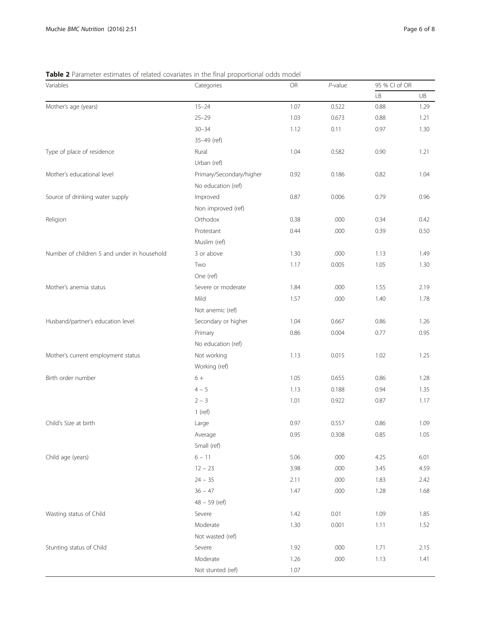## <span id="page-5-0"></span>Table 2 Parameter estimates of related covariates in the final proportional odds model

| Variables                                   | anates in the man proportional<br>Categories | <b>OR</b> | P-value | 95 % CI of OR          |      |
|---------------------------------------------|----------------------------------------------|-----------|---------|------------------------|------|
|                                             |                                              |           |         | $\mathsf{L}\mathsf{B}$ | UB   |
| Mother's age (years)                        | $15 - 24$                                    | 1.07      | 0.522   | 0.88                   | 1.29 |
|                                             | $25 - 29$                                    | 1.03      | 0.673   | 0.88                   | 1.21 |
|                                             | $30 - 34$                                    | 1.12      | 0.11    | 0.97                   | 1.30 |
|                                             | 35-49 (ref)                                  |           |         |                        |      |
| Type of place of residence                  | Rural                                        | 1.04      | 0.582   | 0.90                   | 1.21 |
|                                             | Urban (ref)                                  |           |         |                        |      |
| Mother's educational level                  | Primary/Secondary/higher                     | 0.92      | 0.186   | 0.82                   | 1.04 |
|                                             | No education (ref)                           |           |         |                        |      |
| Source of drinking water supply             | Improved                                     | 0.87      | 0.006   | 0.79                   | 0.96 |
|                                             | Non improved (ref)                           |           |         |                        |      |
| Religion                                    | Orthodox                                     | 0.38      | .000    | 0.34                   | 0.42 |
|                                             | Protestant                                   | 0.44      | .000    | 0.39                   | 0.50 |
|                                             | Muslim (ref)                                 |           |         |                        |      |
| Number of children 5 and under in household | 3 or above                                   | 1.30      | .000    | 1.13                   | 1.49 |
|                                             | Two                                          | 1.17      | 0.005   | 1.05                   | 1.30 |
|                                             | One (ref)                                    |           |         |                        |      |
| Mother's anemia status                      | Severe or moderate                           | 1.84      | .000    | 1.55                   | 2.19 |
|                                             | Mild                                         | 1.57      | .000    | 1.40                   | 1.78 |
|                                             | Not anemic (ref)                             |           |         |                        |      |
| Husband/partner's education level           | Secondary or higher                          | 1.04      | 0.667   | 0.86                   | 1.26 |
|                                             | Primary                                      | 0.86      | 0.004   | 0.77                   | 0.95 |
|                                             | No education (ref)                           |           |         |                        |      |
| Mother's current employment status          | Not working                                  | 1.13      | 0.015   | 1.02                   | 1.25 |
|                                             | Working (ref)                                |           |         |                        |      |
| Birth order number                          | $6+$                                         | 1.05      | 0.655   | 0.86                   | 1.28 |
|                                             | $4 - 5$                                      | 1.13      | 0.188   | 0.94                   | 1.35 |
|                                             | $2 - 3$                                      | 1.01      | 0.922   | 0.87                   | 1.17 |
|                                             | $1$ (ref)                                    |           |         |                        |      |
| Child's Size at birth                       | Large                                        | 0.97      | 0.557   | 0.86                   | 1.09 |
|                                             | Average                                      | 0.95      | 0.308   | 0.85                   | 1.05 |
|                                             | Small (ref)                                  |           |         |                        |      |
| Child age (years)                           | $6 - 11$                                     | 5.06      | .000    | 4.25                   | 6.01 |
|                                             | $12 - 23$                                    | 3.98      | .000    | 3.45                   | 4.59 |
|                                             | $24 - 35$                                    | 2.11      | .000    | 1.83                   | 2.42 |
|                                             | $36 - 47$                                    | 1.47      | .000    | 1.28                   | 1.68 |
|                                             | $48 - 59$ (ref)                              |           |         |                        |      |
| Wasting status of Child                     | Severe                                       | 1.42      | 0.01    | 1.09                   | 1.85 |
|                                             | Moderate                                     | 1.30      | 0.001   | 1.11                   | 1.52 |
|                                             | Not wasted (ref)                             |           |         |                        |      |
| Stunting status of Child                    | Severe                                       | 1.92      | .000    | 1.71                   | 2.15 |
|                                             | Moderate                                     | 1.26      | .000    | 1.13                   | 1.41 |
|                                             | Not stunted (ref)                            | 1.07      |         |                        |      |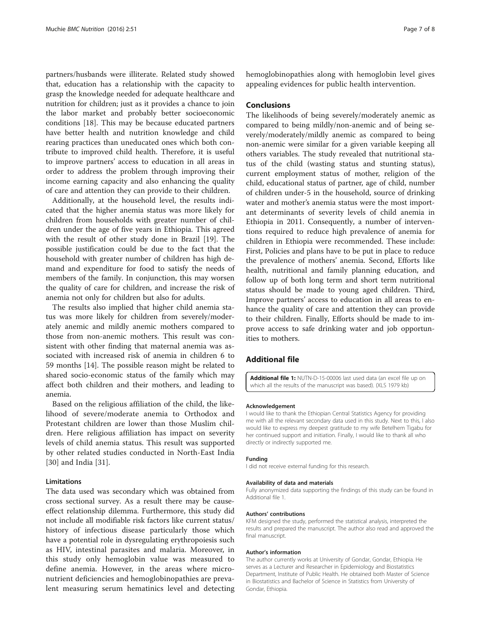partners/husbands were illiterate. Related study showed that, education has a relationship with the capacity to grasp the knowledge needed for adequate healthcare and nutrition for children; just as it provides a chance to join the labor market and probably better socioeconomic conditions [\[18](#page-7-0)]. This may be because educated partners have better health and nutrition knowledge and child rearing practices than uneducated ones which both contribute to improved child health. Therefore, it is useful to improve partners' access to education in all areas in order to address the problem through improving their income earning capacity and also enhancing the quality of care and attention they can provide to their children.

Additionally, at the household level, the results indicated that the higher anemia status was more likely for children from households with greater number of children under the age of five years in Ethiopia. This agreed with the result of other study done in Brazil [[19\]](#page-7-0). The possible justification could be due to the fact that the household with greater number of children has high demand and expenditure for food to satisfy the needs of members of the family. In conjunction, this may worsen the quality of care for children, and increase the risk of anemia not only for children but also for adults.

The results also implied that higher child anemia status was more likely for children from severely/moderately anemic and mildly anemic mothers compared to those from non-anemic mothers. This result was consistent with other finding that maternal anemia was associated with increased risk of anemia in children 6 to 59 months [\[14](#page-7-0)]. The possible reason might be related to shared socio-economic status of the family which may affect both children and their mothers, and leading to anemia.

Based on the religious affiliation of the child, the likelihood of severe/moderate anemia to Orthodox and Protestant children are lower than those Muslim children. Here religious affiliation has impact on severity levels of child anemia status. This result was supported by other related studies conducted in North-East India [[30\]](#page-7-0) and India [[31](#page-7-0)].

## Limitations

The data used was secondary which was obtained from cross sectional survey. As a result there may be causeeffect relationship dilemma. Furthermore, this study did not include all modifiable risk factors like current status/ history of infectious disease particularly those which have a potential role in dysregulating erythropoiesis such as HIV, intestinal parasites and malaria. Moreover, in this study only hemoglobin value was measured to define anemia. However, in the areas where micronutrient deficiencies and hemoglobinopathies are prevalent measuring serum hematinics level and detecting hemoglobinopathies along with hemoglobin level gives appealing evidences for public health intervention.

## Conclusions

The likelihoods of being severely/moderately anemic as compared to being mildly/non-anemic and of being severely/moderately/mildly anemic as compared to being non-anemic were similar for a given variable keeping all others variables. The study revealed that nutritional status of the child (wasting status and stunting status), current employment status of mother, religion of the child, educational status of partner, age of child, number of children under-5 in the household, source of drinking water and mother's anemia status were the most important determinants of severity levels of child anemia in Ethiopia in 2011. Consequently, a number of interventions required to reduce high prevalence of anemia for children in Ethiopia were recommended. These include: First, Policies and plans have to be put in place to reduce the prevalence of mothers' anemia. Second, Efforts like health, nutritional and family planning education, and follow up of both long term and short term nutritional status should be made to young aged children. Third, Improve partners' access to education in all areas to enhance the quality of care and attention they can provide to their children. Finally, Efforts should be made to improve access to safe drinking water and job opportunities to mothers.

## Additional file

[Additional file 1:](dx.doi.org/10.1186/s40795-016-0093-3) NUTN-D-15-00006 last used data (an excel file up on which all the results of the manuscript was based). (XLS 1979 kb)

#### Acknowledgement

I would like to thank the Ethiopian Central Statistics Agency for providing me with all the relevant secondary data used in this study. Next to this, I also would like to express my deepest gratitude to my wife Betelhem Tigabu for her continued support and initiation. Finally, I would like to thank all who directly or indirectly supported me.

#### Funding

I did not receive external funding for this research.

## Availability of data and materials

Fully anonymized data supporting the findings of this study can be found in Additional file 1.

#### Authors' contributions

KFM designed the study, performed the statistical analysis, interpreted the results and prepared the manuscript. The author also read and approved the final manuscript.

#### Author's information

The author currently works at University of Gondar, Gondar, Ethiopia. He serves as a Lecturer and Researcher in Epidemiology and Biostatistics Department, Institute of Public Health. He obtained both Master of Science in Biostatistics and Bachelor of Science in Statistics from University of Gondar, Ethiopia.